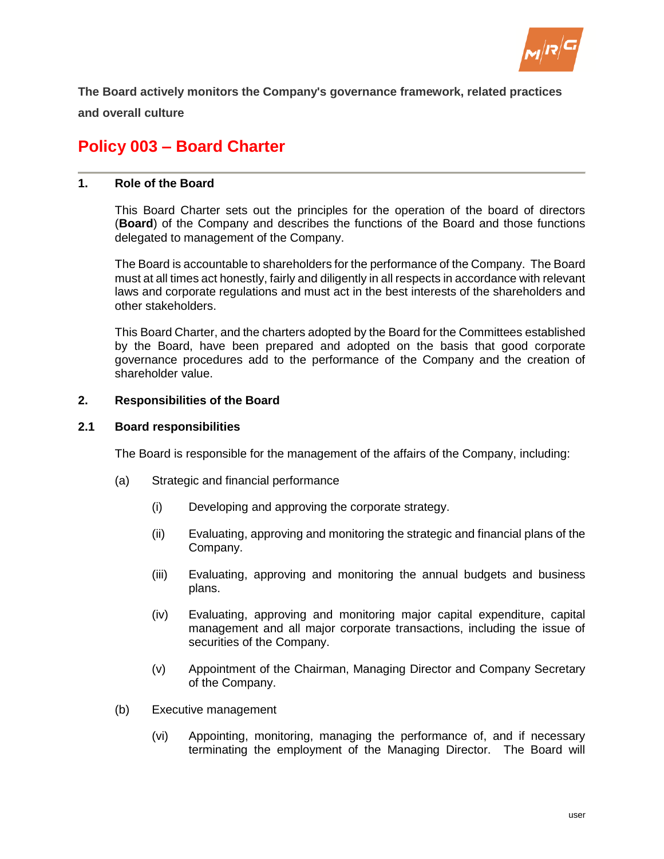

**The Board actively monitors the Company's governance framework, related practices and overall culture**

# **Policy 003 – Board Charter**

# **1. Role of the Board**

This Board Charter sets out the principles for the operation of the board of directors (**Board**) of the Company and describes the functions of the Board and those functions delegated to management of the Company.

The Board is accountable to shareholders for the performance of the Company. The Board must at all times act honestly, fairly and diligently in all respects in accordance with relevant laws and corporate regulations and must act in the best interests of the shareholders and other stakeholders.

This Board Charter, and the charters adopted by the Board for the Committees established by the Board, have been prepared and adopted on the basis that good corporate governance procedures add to the performance of the Company and the creation of shareholder value.

# **2. Responsibilities of the Board**

## **2.1 Board responsibilities**

The Board is responsible for the management of the affairs of the Company, including:

- (a) Strategic and financial performance
	- (i) Developing and approving the corporate strategy.
	- (ii) Evaluating, approving and monitoring the strategic and financial plans of the Company.
	- (iii) Evaluating, approving and monitoring the annual budgets and business plans.
	- (iv) Evaluating, approving and monitoring major capital expenditure, capital management and all major corporate transactions, including the issue of securities of the Company.
	- (v) Appointment of the Chairman, Managing Director and Company Secretary of the Company.
- (b) Executive management
	- (vi) Appointing, monitoring, managing the performance of, and if necessary terminating the employment of the Managing Director. The Board will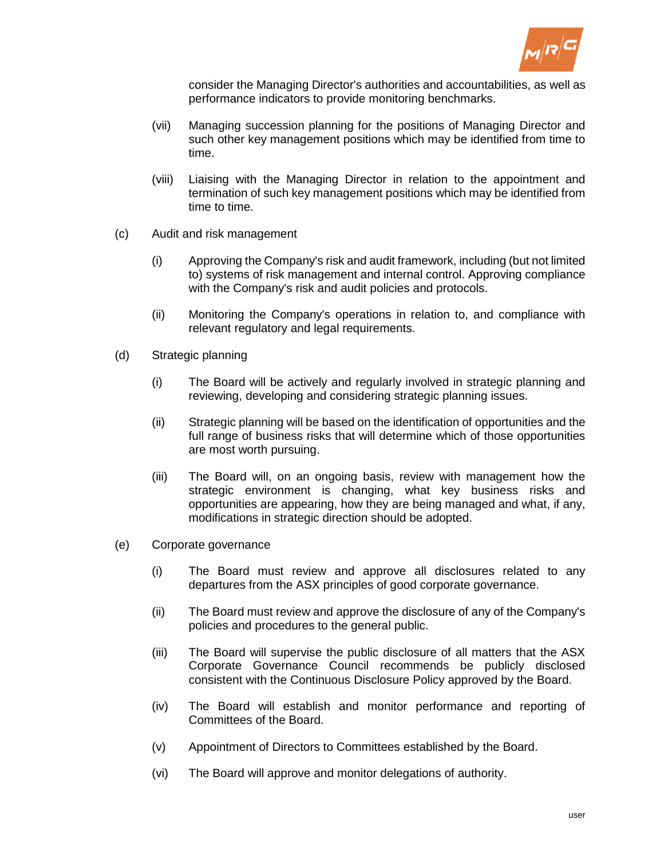

consider the Managing Director's authorities and accountabilities, as well as performance indicators to provide monitoring benchmarks.

- (vii) Managing succession planning for the positions of Managing Director and such other key management positions which may be identified from time to time.
- (viii) Liaising with the Managing Director in relation to the appointment and termination of such key management positions which may be identified from time to time.
- (c) Audit and risk management
	- (i) Approving the Company's risk and audit framework, including (but not limited to) systems of risk management and internal control. Approving compliance with the Company's risk and audit policies and protocols.
	- (ii) Monitoring the Company's operations in relation to, and compliance with relevant regulatory and legal requirements.
- (d) Strategic planning
	- (i) The Board will be actively and regularly involved in strategic planning and reviewing, developing and considering strategic planning issues.
	- (ii) Strategic planning will be based on the identification of opportunities and the full range of business risks that will determine which of those opportunities are most worth pursuing.
	- (iii) The Board will, on an ongoing basis, review with management how the strategic environment is changing, what key business risks and opportunities are appearing, how they are being managed and what, if any, modifications in strategic direction should be adopted.
- (e) Corporate governance
	- (i) The Board must review and approve all disclosures related to any departures from the ASX principles of good corporate governance.
	- (ii) The Board must review and approve the disclosure of any of the Company's policies and procedures to the general public.
	- (iii) The Board will supervise the public disclosure of all matters that the ASX Corporate Governance Council recommends be publicly disclosed consistent with the Continuous Disclosure Policy approved by the Board.
	- (iv) The Board will establish and monitor performance and reporting of Committees of the Board.
	- (v) Appointment of Directors to Committees established by the Board.
	- (vi) The Board will approve and monitor delegations of authority.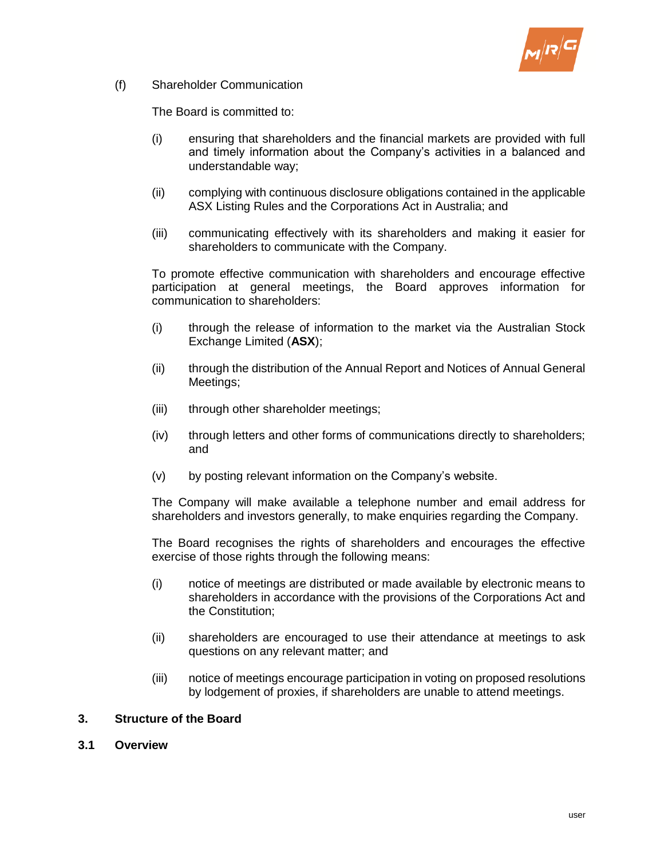

(f) Shareholder Communication

The Board is committed to:

- (i) ensuring that shareholders and the financial markets are provided with full and timely information about the Company's activities in a balanced and understandable way;
- (ii) complying with continuous disclosure obligations contained in the applicable ASX Listing Rules and the Corporations Act in Australia; and
- (iii) communicating effectively with its shareholders and making it easier for shareholders to communicate with the Company.

To promote effective communication with shareholders and encourage effective participation at general meetings, the Board approves information for communication to shareholders:

- (i) through the release of information to the market via the Australian Stock Exchange Limited (**ASX**);
- (ii) through the distribution of the Annual Report and Notices of Annual General Meetings;
- (iii) through other shareholder meetings;
- (iv) through letters and other forms of communications directly to shareholders; and
- (v) by posting relevant information on the Company's website.

The Company will make available a telephone number and email address for shareholders and investors generally, to make enquiries regarding the Company.

The Board recognises the rights of shareholders and encourages the effective exercise of those rights through the following means:

- (i) notice of meetings are distributed or made available by electronic means to shareholders in accordance with the provisions of the Corporations Act and the Constitution;
- (ii) shareholders are encouraged to use their attendance at meetings to ask questions on any relevant matter; and
- (iii) notice of meetings encourage participation in voting on proposed resolutions by lodgement of proxies, if shareholders are unable to attend meetings.

# **3. Structure of the Board**

**3.1 Overview**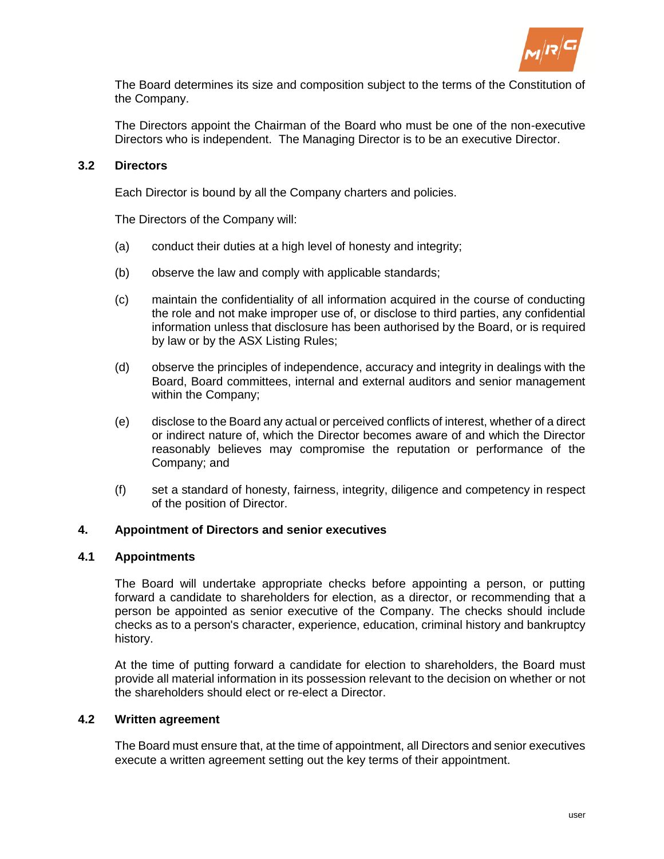

The Board determines its size and composition subject to the terms of the Constitution of the Company.

The Directors appoint the Chairman of the Board who must be one of the non-executive Directors who is independent. The Managing Director is to be an executive Director.

# **3.2 Directors**

Each Director is bound by all the Company charters and policies.

The Directors of the Company will:

- (a) conduct their duties at a high level of honesty and integrity;
- (b) observe the law and comply with applicable standards;
- (c) maintain the confidentiality of all information acquired in the course of conducting the role and not make improper use of, or disclose to third parties, any confidential information unless that disclosure has been authorised by the Board, or is required by law or by the ASX Listing Rules;
- (d) observe the principles of independence, accuracy and integrity in dealings with the Board, Board committees, internal and external auditors and senior management within the Company;
- (e) disclose to the Board any actual or perceived conflicts of interest, whether of a direct or indirect nature of, which the Director becomes aware of and which the Director reasonably believes may compromise the reputation or performance of the Company; and
- (f) set a standard of honesty, fairness, integrity, diligence and competency in respect of the position of Director.

## **4. Appointment of Directors and senior executives**

## **4.1 Appointments**

The Board will undertake appropriate checks before appointing a person, or putting forward a candidate to shareholders for election, as a director, or recommending that a person be appointed as senior executive of the Company. The checks should include checks as to a person's character, experience, education, criminal history and bankruptcy history.

At the time of putting forward a candidate for election to shareholders, the Board must provide all material information in its possession relevant to the decision on whether or not the shareholders should elect or re-elect a Director.

## **4.2 Written agreement**

The Board must ensure that, at the time of appointment, all Directors and senior executives execute a written agreement setting out the key terms of their appointment.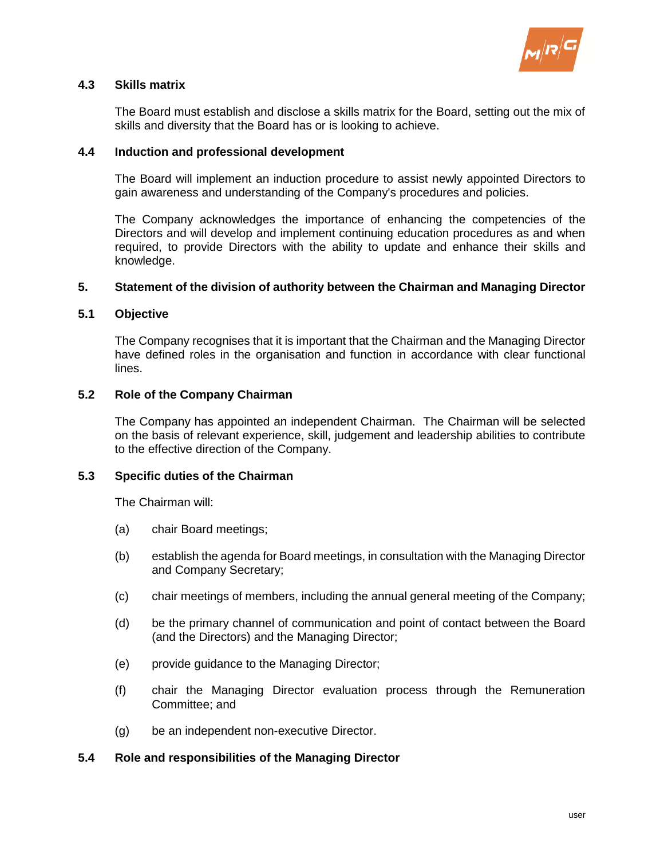

# **4.3 Skills matrix**

The Board must establish and disclose a skills matrix for the Board, setting out the mix of skills and diversity that the Board has or is looking to achieve.

## **4.4 Induction and professional development**

The Board will implement an induction procedure to assist newly appointed Directors to gain awareness and understanding of the Company's procedures and policies.

The Company acknowledges the importance of enhancing the competencies of the Directors and will develop and implement continuing education procedures as and when required, to provide Directors with the ability to update and enhance their skills and knowledge.

## **5. Statement of the division of authority between the Chairman and Managing Director**

## **5.1 Objective**

The Company recognises that it is important that the Chairman and the Managing Director have defined roles in the organisation and function in accordance with clear functional lines.

# **5.2 Role of the Company Chairman**

The Company has appointed an independent Chairman. The Chairman will be selected on the basis of relevant experience, skill, judgement and leadership abilities to contribute to the effective direction of the Company.

## **5.3 Specific duties of the Chairman**

The Chairman will:

- (a) chair Board meetings;
- (b) establish the agenda for Board meetings, in consultation with the Managing Director and Company Secretary;
- (c) chair meetings of members, including the annual general meeting of the Company;
- (d) be the primary channel of communication and point of contact between the Board (and the Directors) and the Managing Director;
- (e) provide guidance to the Managing Director;
- (f) chair the Managing Director evaluation process through the Remuneration Committee; and
- (g) be an independent non-executive Director.

## **5.4 Role and responsibilities of the Managing Director**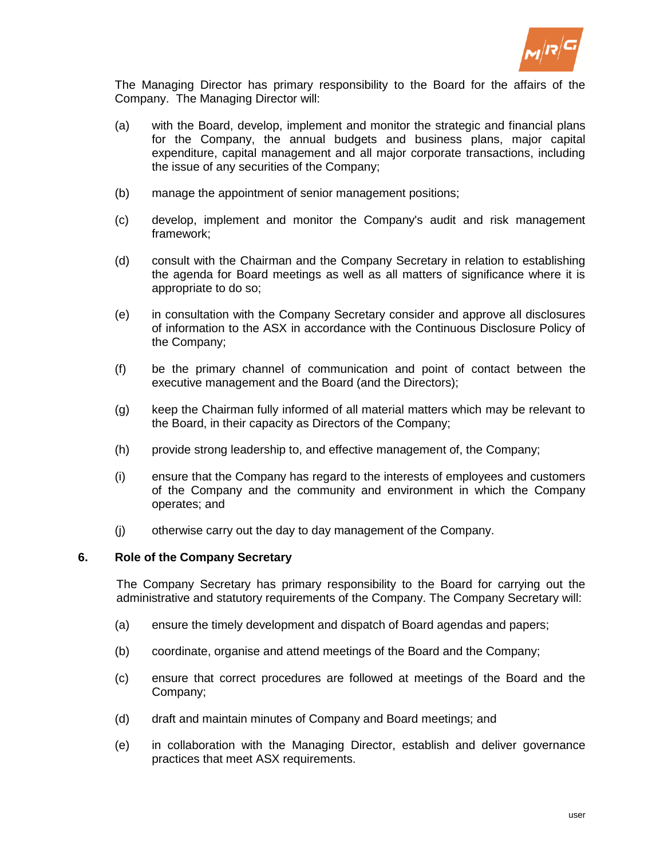

The Managing Director has primary responsibility to the Board for the affairs of the Company. The Managing Director will:

- (a) with the Board, develop, implement and monitor the strategic and financial plans for the Company, the annual budgets and business plans, major capital expenditure, capital management and all major corporate transactions, including the issue of any securities of the Company;
- (b) manage the appointment of senior management positions;
- (c) develop, implement and monitor the Company's audit and risk management framework;
- (d) consult with the Chairman and the Company Secretary in relation to establishing the agenda for Board meetings as well as all matters of significance where it is appropriate to do so;
- (e) in consultation with the Company Secretary consider and approve all disclosures of information to the ASX in accordance with the Continuous Disclosure Policy of the Company;
- (f) be the primary channel of communication and point of contact between the executive management and the Board (and the Directors);
- (g) keep the Chairman fully informed of all material matters which may be relevant to the Board, in their capacity as Directors of the Company;
- (h) provide strong leadership to, and effective management of, the Company;
- (i) ensure that the Company has regard to the interests of employees and customers of the Company and the community and environment in which the Company operates; and
- (j) otherwise carry out the day to day management of the Company.

#### **6. Role of the Company Secretary**

The Company Secretary has primary responsibility to the Board for carrying out the administrative and statutory requirements of the Company. The Company Secretary will:

- (a) ensure the timely development and dispatch of Board agendas and papers;
- (b) coordinate, organise and attend meetings of the Board and the Company;
- (c) ensure that correct procedures are followed at meetings of the Board and the Company;
- (d) draft and maintain minutes of Company and Board meetings; and
- (e) in collaboration with the Managing Director, establish and deliver governance practices that meet ASX requirements.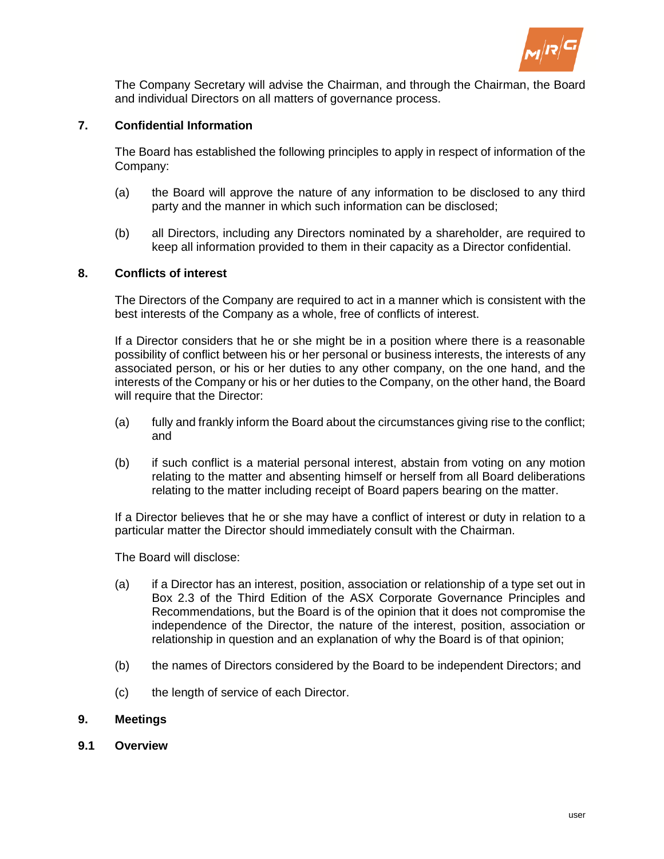

The Company Secretary will advise the Chairman, and through the Chairman, the Board and individual Directors on all matters of governance process.

# **7. Confidential Information**

The Board has established the following principles to apply in respect of information of the Company:

- (a) the Board will approve the nature of any information to be disclosed to any third party and the manner in which such information can be disclosed;
- (b) all Directors, including any Directors nominated by a shareholder, are required to keep all information provided to them in their capacity as a Director confidential.

## **8. Conflicts of interest**

The Directors of the Company are required to act in a manner which is consistent with the best interests of the Company as a whole, free of conflicts of interest.

If a Director considers that he or she might be in a position where there is a reasonable possibility of conflict between his or her personal or business interests, the interests of any associated person, or his or her duties to any other company, on the one hand, and the interests of the Company or his or her duties to the Company, on the other hand, the Board will require that the Director:

- (a) fully and frankly inform the Board about the circumstances giving rise to the conflict; and
- (b) if such conflict is a material personal interest, abstain from voting on any motion relating to the matter and absenting himself or herself from all Board deliberations relating to the matter including receipt of Board papers bearing on the matter.

If a Director believes that he or she may have a conflict of interest or duty in relation to a particular matter the Director should immediately consult with the Chairman.

The Board will disclose:

- (a) if a Director has an interest, position, association or relationship of a type set out in Box 2.3 of the Third Edition of the ASX Corporate Governance Principles and Recommendations, but the Board is of the opinion that it does not compromise the independence of the Director, the nature of the interest, position, association or relationship in question and an explanation of why the Board is of that opinion;
- (b) the names of Directors considered by the Board to be independent Directors; and
- (c) the length of service of each Director.

## **9. Meetings**

**9.1 Overview**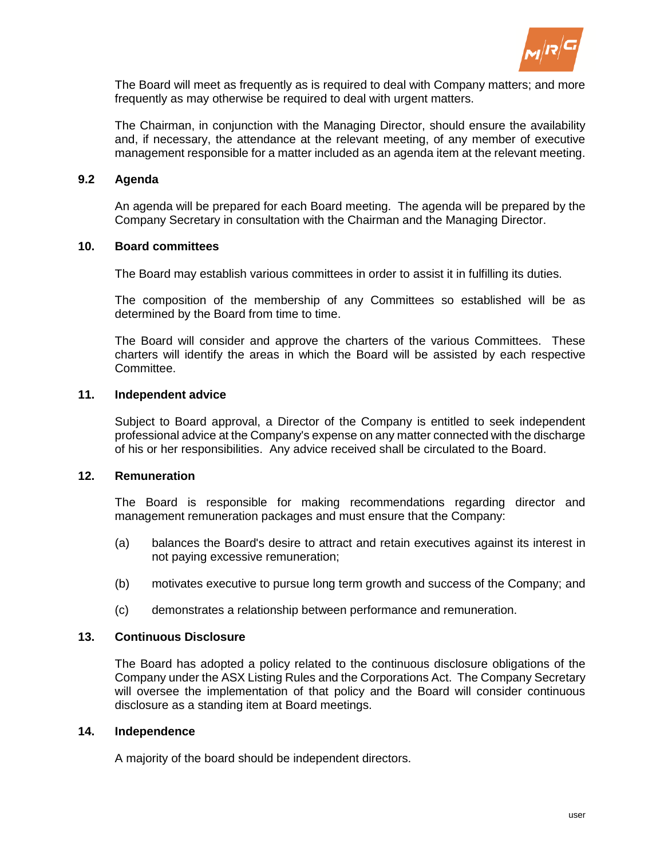

The Board will meet as frequently as is required to deal with Company matters; and more frequently as may otherwise be required to deal with urgent matters.

The Chairman, in conjunction with the Managing Director, should ensure the availability and, if necessary, the attendance at the relevant meeting, of any member of executive management responsible for a matter included as an agenda item at the relevant meeting.

## **9.2 Agenda**

An agenda will be prepared for each Board meeting. The agenda will be prepared by the Company Secretary in consultation with the Chairman and the Managing Director.

#### **10. Board committees**

The Board may establish various committees in order to assist it in fulfilling its duties.

The composition of the membership of any Committees so established will be as determined by the Board from time to time.

The Board will consider and approve the charters of the various Committees. These charters will identify the areas in which the Board will be assisted by each respective Committee.

## **11. Independent advice**

Subject to Board approval, a Director of the Company is entitled to seek independent professional advice at the Company's expense on any matter connected with the discharge of his or her responsibilities. Any advice received shall be circulated to the Board.

#### **12. Remuneration**

The Board is responsible for making recommendations regarding director and management remuneration packages and must ensure that the Company:

- (a) balances the Board's desire to attract and retain executives against its interest in not paying excessive remuneration;
- (b) motivates executive to pursue long term growth and success of the Company; and
- (c) demonstrates a relationship between performance and remuneration.

#### **13. Continuous Disclosure**

The Board has adopted a policy related to the continuous disclosure obligations of the Company under the ASX Listing Rules and the Corporations Act. The Company Secretary will oversee the implementation of that policy and the Board will consider continuous disclosure as a standing item at Board meetings.

#### **14. Independence**

A majority of the board should be independent directors.